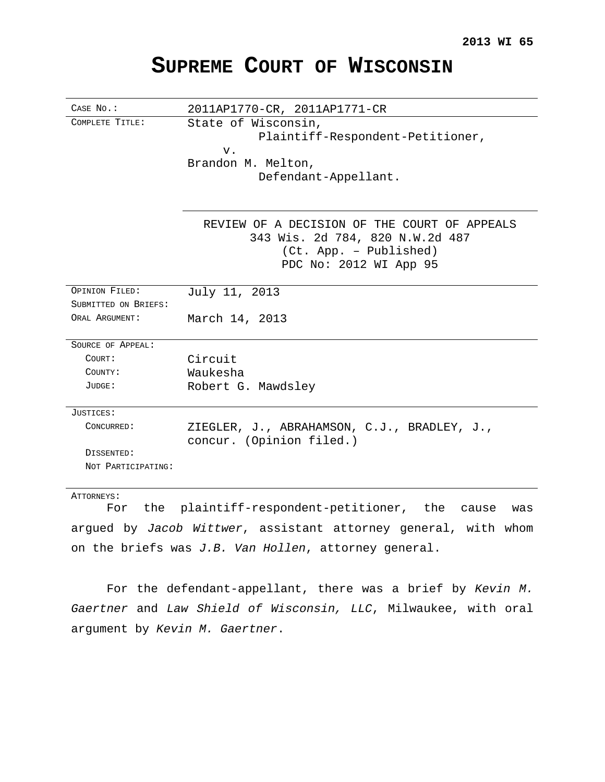# **SUPREME COURT OF WISCONSIN**

| CASE No.:            | 2011AP1770-CR, 2011AP1771-CR                                                                                                        |
|----------------------|-------------------------------------------------------------------------------------------------------------------------------------|
| COMPLETE TITLE:      | State of Wisconsin,<br>Plaintiff-Respondent-Petitioner,<br>v.<br>Brandon M. Melton,<br>Defendant-Appellant.                         |
|                      | REVIEW OF A DECISION OF THE COURT OF APPEALS<br>343 Wis. 2d 784, 820 N.W.2d 487<br>(Ct. App. - Published)<br>PDC No: 2012 WI App 95 |
| OPINION FILED:       | July 11, 2013                                                                                                                       |
| SUBMITTED ON BRIEFS: |                                                                                                                                     |
| ORAL ARGUMENT:       | March 14, 2013                                                                                                                      |
| SOURCE OF APPEAL:    |                                                                                                                                     |
| COURT:               | Circuit                                                                                                                             |
| COUNTY:              | Waukesha                                                                                                                            |
| JUDGE:               | Robert G. Mawdsley                                                                                                                  |
| JUSTICES:            |                                                                                                                                     |
| CONCURRED:           | ZIEGLER, J., ABRAHAMSON, C.J., BRADLEY, J.,<br>concur. (Opinion filed.)                                                             |
| DISSENTED:           |                                                                                                                                     |
| NOT PARTICIPATING:   |                                                                                                                                     |

ATTORNEYS:

For the plaintiff-respondent-petitioner, the cause was argued by Jacob Wittwer, assistant attorney general, with whom on the briefs was J.B. Van Hollen, attorney general.

For the defendant-appellant, there was a brief by Kevin M. Gaertner and Law Shield of Wisconsin, LLC, Milwaukee, with oral argument by Kevin M. Gaertner.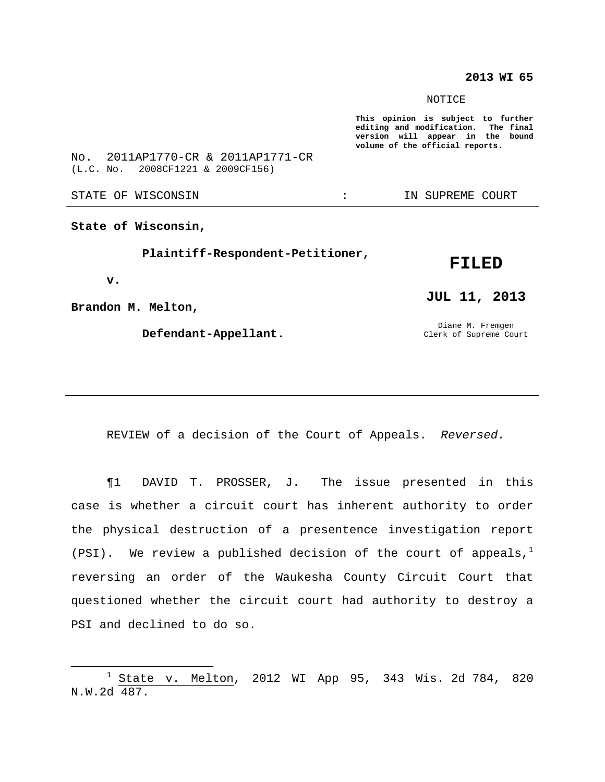#### **2013 WI 65**

#### NOTICE

**This opinion is subject to further editing and modification. The final version will appear in the bound volume of the official reports.**

No. 2011AP1770-CR & 2011AP1771-CR (L.C. No. 2008CF1221 & 2009CF156)

STATE OF WISCONSIN THE RESERVE STATE OF WISCONSIN STATE OF THE SUPREME COURT

**State of Wisconsin,**

**Plaintiff-Respondent-Petitioner,**

# **FILED**

**v.**

**Brandon M. Melton,**

**Defendant-Appellant.**

**JUL 11, 2013**

Diane M. Fremgen Clerk of Supreme Court

REVIEW of a decision of the Court of Appeals. Reversed.

¶1 DAVID T. PROSSER, J. The issue presented in this case is whether a circuit court has inherent authority to order the physical destruction of a presentence investigation report (PSI). We review a published decision of the court of appeals, $<sup>1</sup>$ </sup> reversing an order of the Waukesha County Circuit Court that questioned whether the circuit court had authority to destroy a PSI and declined to do so.

 $1$  State v. Melton, 2012 WI App 95, 343 Wis. 2d 784, 820 N.W.2d 487.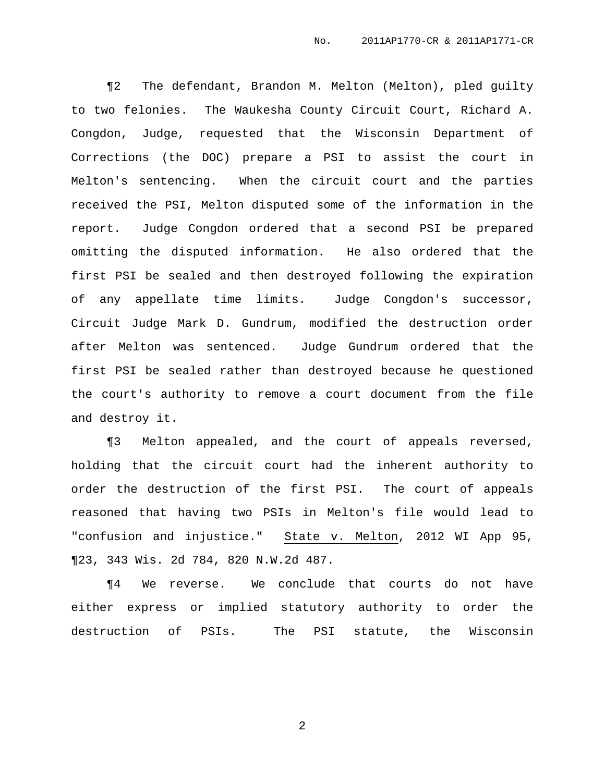¶2 The defendant, Brandon M. Melton (Melton), pled guilty to two felonies. The Waukesha County Circuit Court, Richard A. Congdon, Judge, requested that the Wisconsin Department of Corrections (the DOC) prepare a PSI to assist the court in Melton's sentencing. When the circuit court and the parties received the PSI, Melton disputed some of the information in the report. Judge Congdon ordered that a second PSI be prepared omitting the disputed information. He also ordered that the first PSI be sealed and then destroyed following the expiration of any appellate time limits. Judge Congdon's successor, Circuit Judge Mark D. Gundrum, modified the destruction order after Melton was sentenced. Judge Gundrum ordered that the first PSI be sealed rather than destroyed because he questioned the court's authority to remove a court document from the file and destroy it.

¶3 Melton appealed, and the court of appeals reversed, holding that the circuit court had the inherent authority to order the destruction of the first PSI. The court of appeals reasoned that having two PSIs in Melton's file would lead to "confusion and injustice." State v. Melton, 2012 WI App 95, ¶23, 343 Wis. 2d 784, 820 N.W.2d 487.

¶4 We reverse. We conclude that courts do not have either express or implied statutory authority to order the destruction of PSIs. The PSI statute, the Wisconsin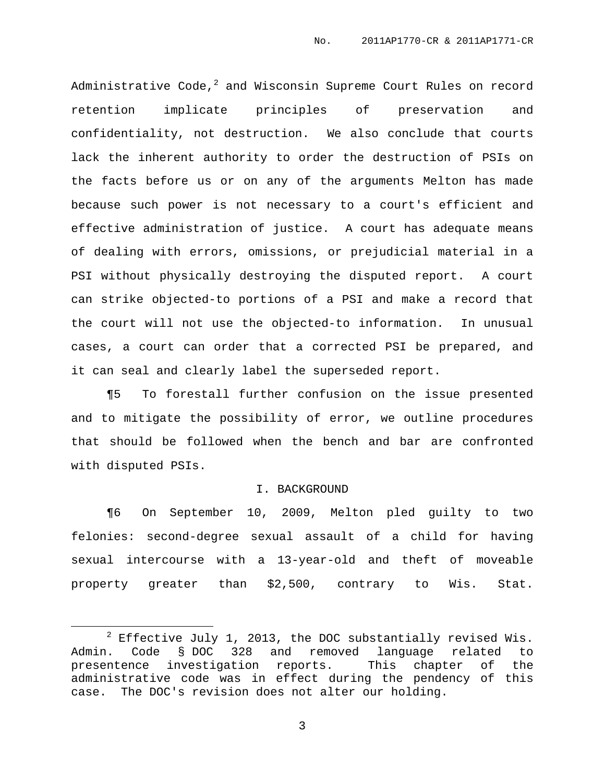Administrative Code, $^2$  and Wisconsin Supreme Court Rules on record retention implicate principles of preservation and confidentiality, not destruction. We also conclude that courts lack the inherent authority to order the destruction of PSIs on the facts before us or on any of the arguments Melton has made because such power is not necessary to a court's efficient and effective administration of justice. A court has adequate means of dealing with errors, omissions, or prejudicial material in a PSI without physically destroying the disputed report. A court can strike objected-to portions of a PSI and make a record that the court will not use the objected-to information. In unusual cases, a court can order that a corrected PSI be prepared, and it can seal and clearly label the superseded report.

¶5 To forestall further confusion on the issue presented and to mitigate the possibility of error, we outline procedures that should be followed when the bench and bar are confronted with disputed PSIs.

## I. BACKGROUND

¶6 On September 10, 2009, Melton pled guilty to two felonies: second-degree sexual assault of a child for having sexual intercourse with a 13-year-old and theft of moveable property greater than \$2,500, contrary to Wis. Stat.

 $2$  Effective July 1, 2013, the DOC substantially revised Wis. Admin. Code § DOC 328 and removed language related to presentence investigation reports. This chapter of the administrative code was in effect during the pendency of this case. The DOC's revision does not alter our holding.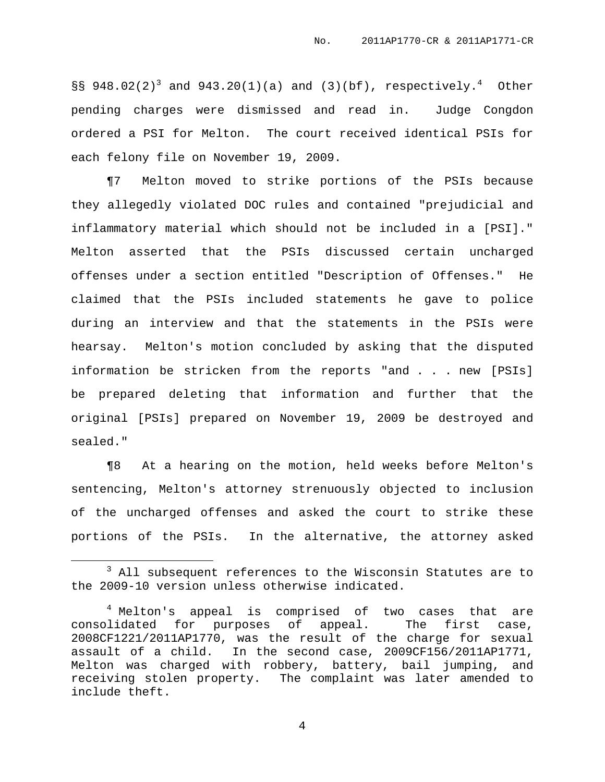§§ 948.02(2)<sup>3</sup> and 943.20(1)(a) and (3)(bf), respectively.<sup>4</sup> Other pending charges were dismissed and read in. Judge Congdon ordered a PSI for Melton. The court received identical PSIs for each felony file on November 19, 2009.

¶7 Melton moved to strike portions of the PSIs because they allegedly violated DOC rules and contained "prejudicial and inflammatory material which should not be included in a [PSI]." Melton asserted that the PSIs discussed certain uncharged offenses under a section entitled "Description of Offenses." He claimed that the PSIs included statements he gave to police during an interview and that the statements in the PSIs were hearsay. Melton's motion concluded by asking that the disputed information be stricken from the reports "and . . . new [PSIs] be prepared deleting that information and further that the original [PSIs] prepared on November 19, 2009 be destroyed and sealed."

¶8 At a hearing on the motion, held weeks before Melton's sentencing, Melton's attorney strenuously objected to inclusion of the uncharged offenses and asked the court to strike these portions of the PSIs. In the alternative, the attorney asked

<sup>&</sup>lt;sup>3</sup> All subsequent references to the Wisconsin Statutes are to the 2009-10 version unless otherwise indicated.

<sup>&</sup>lt;sup>4</sup> Melton's appeal is comprised of two cases that are consolidated for purposes of appeal. The first case, 2008CF1221/2011AP1770, was the result of the charge for sexual assault of a child. In the second case, 2009CF156/2011AP1771, Melton was charged with robbery, battery, bail jumping, and receiving stolen property. The complaint was later amended to include theft.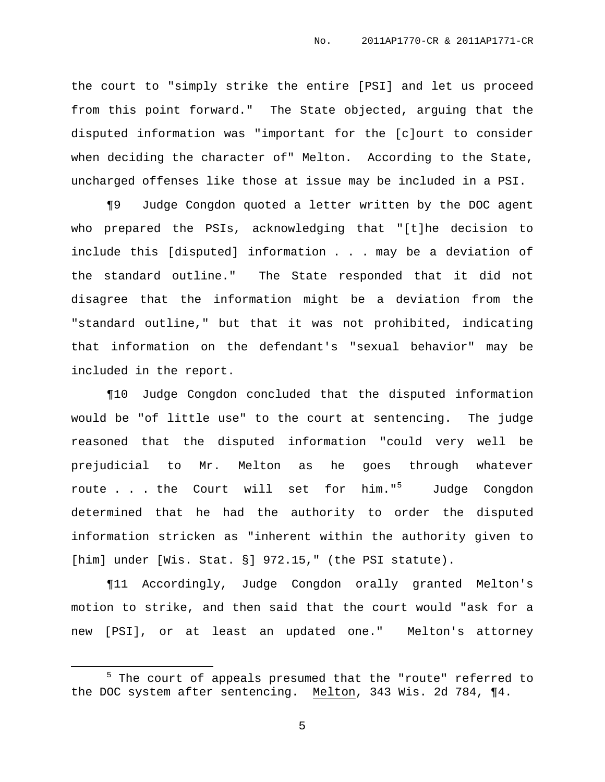the court to "simply strike the entire [PSI] and let us proceed from this point forward." The State objected, arguing that the disputed information was "important for the [c]ourt to consider when deciding the character of" Melton. According to the State, uncharged offenses like those at issue may be included in a PSI.

¶9 Judge Congdon quoted a letter written by the DOC agent who prepared the PSIs, acknowledging that "[t]he decision to include this [disputed] information . . . may be a deviation of the standard outline." The State responded that it did not disagree that the information might be a deviation from the "standard outline," but that it was not prohibited, indicating that information on the defendant's "sexual behavior" may be included in the report.

¶10 Judge Congdon concluded that the disputed information would be "of little use" to the court at sentencing. The judge reasoned that the disputed information "could very well be prejudicial to Mr. Melton as he goes through whatever route . . . the Court will set for him."<sup>5</sup> <sup>5</sup> Judge Congdon determined that he had the authority to order the disputed information stricken as "inherent within the authority given to [him] under [Wis. Stat. §] 972.15," (the PSI statute).

¶11 Accordingly, Judge Congdon orally granted Melton's motion to strike, and then said that the court would "ask for a new [PSI], or at least an updated one." Melton's attorney

<sup>&</sup>lt;sup>5</sup> The court of appeals presumed that the "route" referred to the DOC system after sentencing. Melton, 343 Wis. 2d 784, ¶4.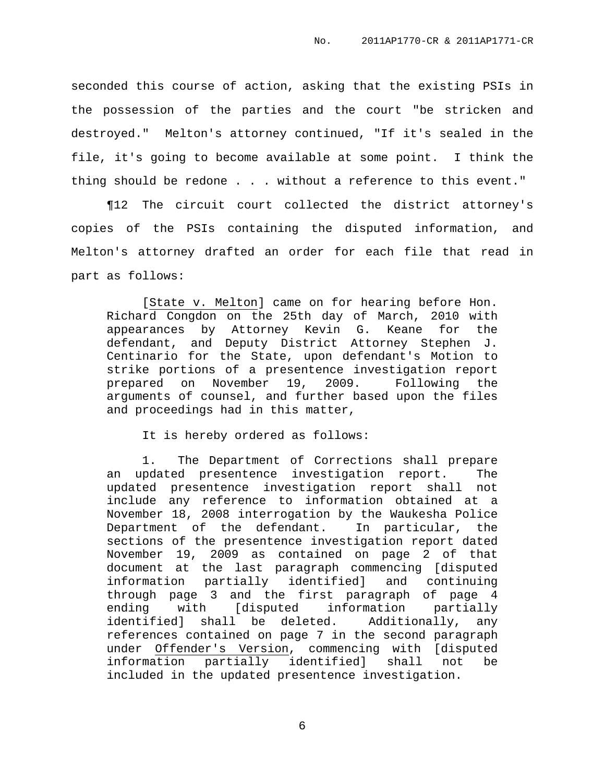seconded this course of action, asking that the existing PSIs in the possession of the parties and the court "be stricken and destroyed." Melton's attorney continued, "If it's sealed in the file, it's going to become available at some point. I think the thing should be redone . . . without a reference to this event."

¶12 The circuit court collected the district attorney's copies of the PSIs containing the disputed information, and Melton's attorney drafted an order for each file that read in part as follows:

[State v. Melton] came on for hearing before Hon. Richard Congdon on the 25th day of March, 2010 with appearances by Attorney Kevin G. Keane for the defendant, and Deputy District Attorney Stephen J. Centinario for the State, upon defendant's Motion to strike portions of a presentence investigation report prepared on November 19, 2009. Following the arguments of counsel, and further based upon the files and proceedings had in this matter,

It is hereby ordered as follows:

1. The Department of Corrections shall prepare an updated presentence investigation report. The updated presentence investigation report shall not include any reference to information obtained at a November 18, 2008 interrogation by the Waukesha Police Department of the defendant. In particular, the sections of the presentence investigation report dated November 19, 2009 as contained on page 2 of that document at the last paragraph commencing [disputed information partially identified] and continuing through page 3 and the first paragraph of page 4 ending with [disputed information partially identified] shall be deleted. Additionally, any references contained on page 7 in the second paragraph under Offender's Version, commencing with [disputed information partially identified] shall not be included in the updated presentence investigation.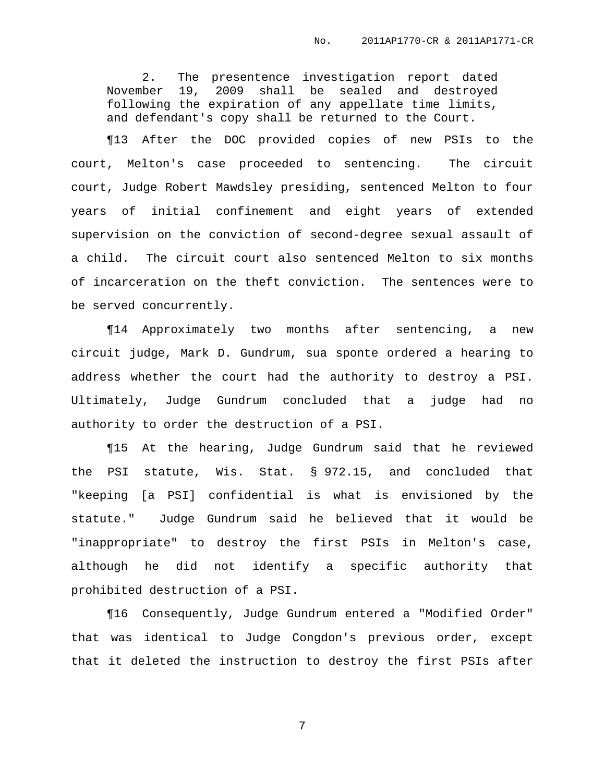2. The presentence investigation report dated November 19, 2009 shall be sealed and destroyed following the expiration of any appellate time limits, and defendant's copy shall be returned to the Court.

¶13 After the DOC provided copies of new PSIs to the court, Melton's case proceeded to sentencing. The circuit court, Judge Robert Mawdsley presiding, sentenced Melton to four years of initial confinement and eight years of extended supervision on the conviction of second-degree sexual assault of a child. The circuit court also sentenced Melton to six months of incarceration on the theft conviction. The sentences were to be served concurrently.

¶14 Approximately two months after sentencing, a new circuit judge, Mark D. Gundrum, sua sponte ordered a hearing to address whether the court had the authority to destroy a PSI. Ultimately, Judge Gundrum concluded that a judge had no authority to order the destruction of a PSI.

¶15 At the hearing, Judge Gundrum said that he reviewed the PSI statute, Wis. Stat. § 972.15, and concluded that "keeping [a PSI] confidential is what is envisioned by the statute." Judge Gundrum said he believed that it would be "inappropriate" to destroy the first PSIs in Melton's case, although he did not identify a specific authority that prohibited destruction of a PSI.

¶16 Consequently, Judge Gundrum entered a "Modified Order" that was identical to Judge Congdon's previous order, except that it deleted the instruction to destroy the first PSIs after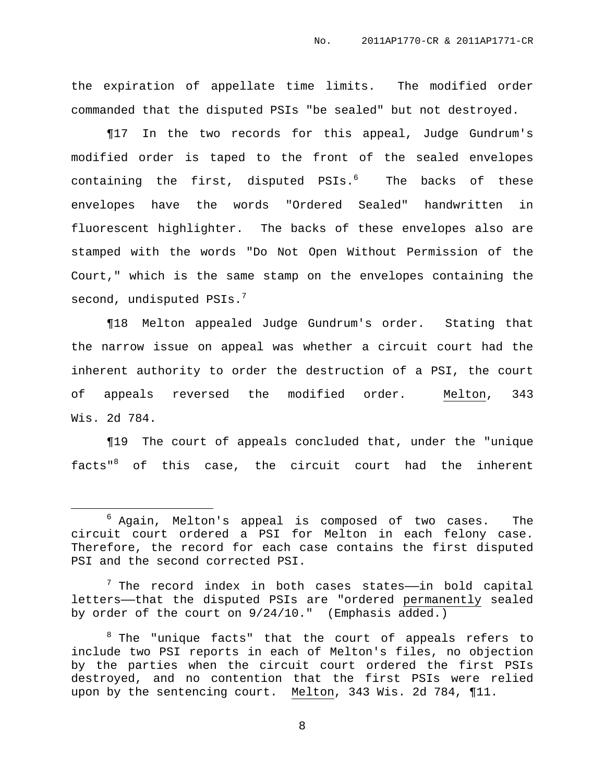the expiration of appellate time limits. The modified order commanded that the disputed PSIs "be sealed" but not destroyed.

¶17 In the two records for this appeal, Judge Gundrum's modified order is taped to the front of the sealed envelopes containing the first, disputed PSIs. The backs of these envelopes have the words "Ordered Sealed" handwritten in fluorescent highlighter. The backs of these envelopes also are stamped with the words "Do Not Open Without Permission of the Court," which is the same stamp on the envelopes containing the second, undisputed PSIs. $^7$ 

¶18 Melton appealed Judge Gundrum's order. Stating that the narrow issue on appeal was whether a circuit court had the inherent authority to order the destruction of a PSI, the court of appeals reversed the modified order. Melton, 343 Wis. 2d 784.

¶19 The court of appeals concluded that, under the "unique facts"<sup>8</sup> of this case, the circuit court had the inherent

 $7$  The record index in both cases states—in bold capital letters—that the disputed PSIs are "ordered permanently sealed by order of the court on 9/24/10." (Emphasis added.)

 $6$  Again, Melton's appeal is composed of two cases. The circuit court ordered a PSI for Melton in each felony case. Therefore, the record for each case contains the first disputed PSI and the second corrected PSI.

<sup>&</sup>lt;sup>8</sup> The "unique facts" that the court of appeals refers to include two PSI reports in each of Melton's files, no objection by the parties when the circuit court ordered the first PSIs destroyed, and no contention that the first PSIs were relied upon by the sentencing court. Melton, 343 Wis. 2d 784, ¶11.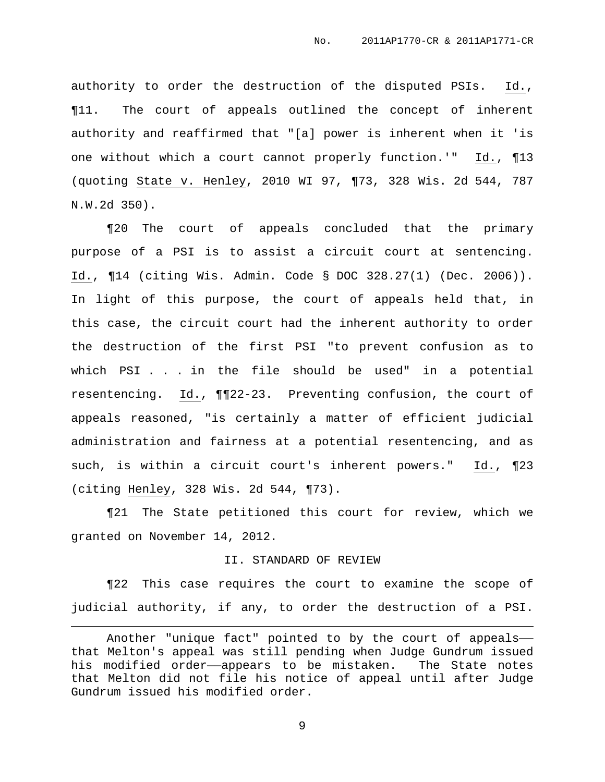authority to order the destruction of the disputed PSIs. Id., ¶11. The court of appeals outlined the concept of inherent authority and reaffirmed that "[a] power is inherent when it 'is one without which a court cannot properly function.'" Id., ¶13 (quoting State v. Henley, 2010 WI 97, ¶73, 328 Wis. 2d 544, 787 N.W.2d 350).

¶20 The court of appeals concluded that the primary purpose of a PSI is to assist a circuit court at sentencing. Id., ¶14 (citing Wis. Admin. Code § DOC 328.27(1) (Dec. 2006)). In light of this purpose, the court of appeals held that, in this case, the circuit court had the inherent authority to order the destruction of the first PSI "to prevent confusion as to which PSI . . . in the file should be used" in a potential resentencing. Id., ¶¶22-23. Preventing confusion, the court of appeals reasoned, "is certainly a matter of efficient judicial administration and fairness at a potential resentencing, and as such, is within a circuit court's inherent powers." Id., ¶23 (citing Henley, 328 Wis. 2d 544, ¶73).

¶21 The State petitioned this court for review, which we granted on November 14, 2012.

#### II. STANDARD OF REVIEW

¶22 This case requires the court to examine the scope of judicial authority, if any, to order the destruction of a PSI.

Another "unique fact" pointed to by the court of appeals— that Melton's appeal was still pending when Judge Gundrum issued his modified order—appears to be mistaken. The State notes that Melton did not file his notice of appeal until after Judge Gundrum issued his modified order.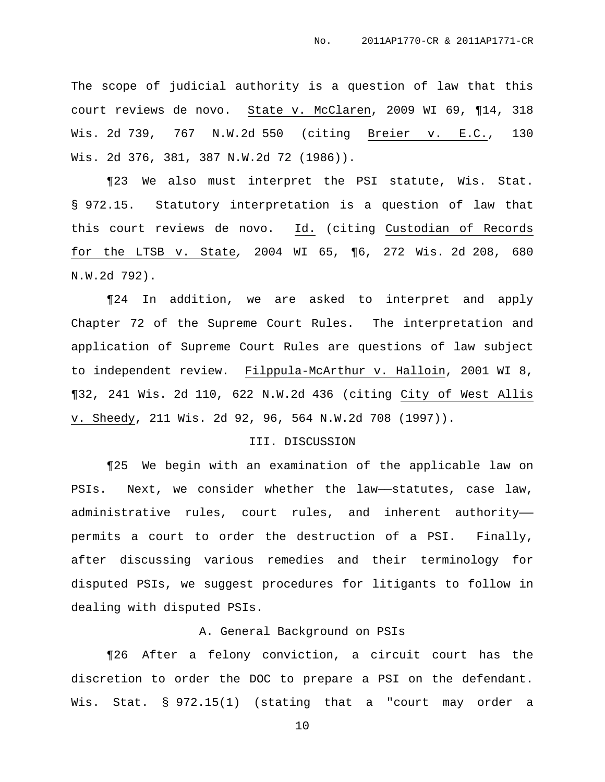No. 2011AP1770-CR & 2011AP1771-CR

The scope of judicial authority is a question of law that this court reviews de novo. State v. McClaren, 2009 WI 69, ¶14, 318 Wis. 2d 739, 767 N.W.2d 550 (citing Breier v. E.C., 130 Wis. 2d 376, 381, 387 N.W.2d 72 (1986)).

¶23 We also must interpret the PSI statute, Wis. Stat. § 972.15. Statutory interpretation is a question of law that this court reviews de novo. Id. (citing Custodian of Records for the LTSB v. State, 2004 WI 65, ¶6, 272 Wis. 2d 208, 680 N.W.2d 792).

¶24 In addition, we are asked to interpret and apply Chapter 72 of the Supreme Court Rules. The interpretation and application of Supreme Court Rules are questions of law subject to independent review. Filppula-McArthur v. Halloin, 2001 WI 8, ¶32, 241 Wis. 2d 110, 622 N.W.2d 436 (citing City of West Allis v. Sheedy, 211 Wis. 2d 92, 96, 564 N.W.2d 708 (1997)).

## III. DISCUSSION

¶25 We begin with an examination of the applicable law on PSIs. Next, we consider whether the law——statutes, case law, administrative rules, court rules, and inherent authority— permits a court to order the destruction of a PSI. Finally, after discussing various remedies and their terminology for disputed PSIs, we suggest procedures for litigants to follow in dealing with disputed PSIs.

# A. General Background on PSIs

¶26 After a felony conviction, a circuit court has the discretion to order the DOC to prepare a PSI on the defendant. Wis. Stat. § 972.15(1) (stating that a "court may order a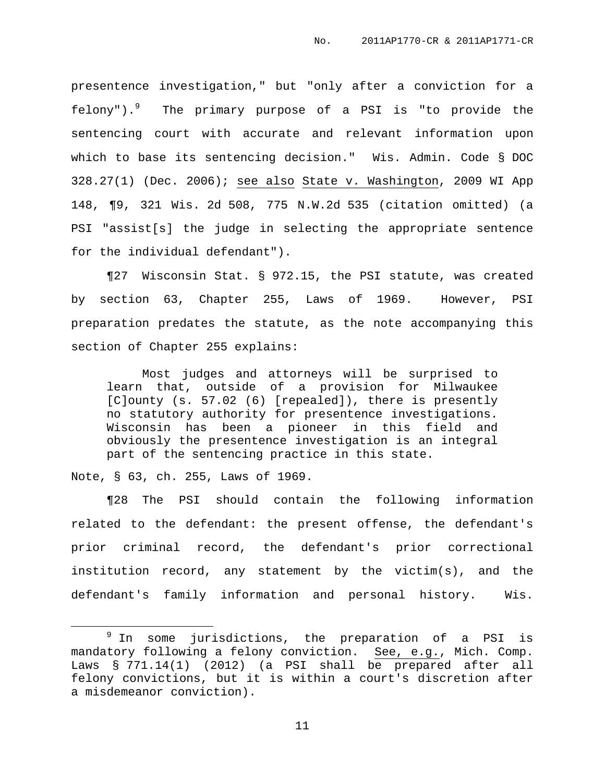presentence investigation," but "only after a conviction for a felony").<sup>9</sup> The primary purpose of a PSI is "to provide the sentencing court with accurate and relevant information upon which to base its sentencing decision." Wis. Admin. Code § DOC 328.27(1) (Dec. 2006); see also State v. Washington, 2009 WI App 148, ¶9, 321 Wis. 2d 508, 775 N.W.2d 535 (citation omitted) (a PSI "assist[s] the judge in selecting the appropriate sentence for the individual defendant").

¶27 Wisconsin Stat. § 972.15, the PSI statute, was created by section 63, Chapter 255, Laws of 1969. However, PSI preparation predates the statute, as the note accompanying this section of Chapter 255 explains:

Most judges and attorneys will be surprised to learn that, outside of a provision for Milwaukee [C]ounty (s. 57.02 (6) [repealed]), there is presently no statutory authority for presentence investigations. Wisconsin has been a pioneer in this field and obviously the presentence investigation is an integral part of the sentencing practice in this state.

Note, § 63, ch. 255, Laws of 1969.

¶28 The PSI should contain the following information related to the defendant: the present offense, the defendant's prior criminal record, the defendant's prior correctional institution record, any statement by the victim(s), and the defendant's family information and personal history. Wis.

 $9$  In some jurisdictions, the preparation of a PSI is mandatory following a felony conviction. See, e.g., Mich. Comp. Laws § 771.14(1) (2012) (a PSI shall be prepared after all felony convictions, but it is within a court's discretion after a misdemeanor conviction).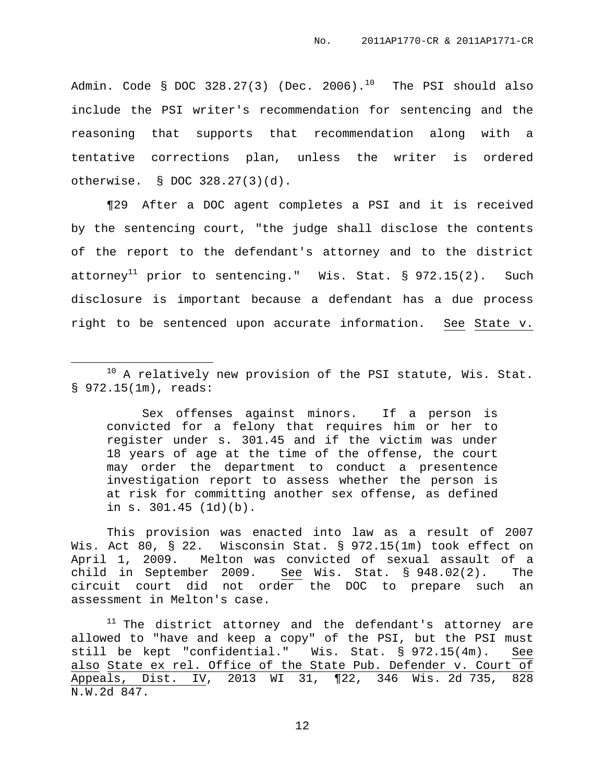Admin. Code § DOC 328.27(3) (Dec. 2006). $^{10}$  The PSI should also include the PSI writer's recommendation for sentencing and the reasoning that supports that recommendation along with a tentative corrections plan, unless the writer is ordered otherwise. § DOC 328.27(3)(d).

¶29 After a DOC agent completes a PSI and it is received by the sentencing court, "the judge shall disclose the contents of the report to the defendant's attorney and to the district attorney $^{11}$  prior to sentencing." Wis. Stat. § 972.15(2). Such disclosure is important because a defendant has a due process right to be sentenced upon accurate information. See State v.

Sex offenses against minors. If a person is convicted for a felony that requires him or her to register under s. 301.45 and if the victim was under 18 years of age at the time of the offense, the court may order the department to conduct a presentence investigation report to assess whether the person is at risk for committing another sex offense, as defined in s. 301.45 (1d)(b).

This provision was enacted into law as a result of 2007 Wis. Act 80, § 22. Wisconsin Stat. § 972.15(1m) took effect on April 1, 2009. Melton was convicted of sexual assault of a child in September 2009. See Wis. Stat. § 948.02(2). The circuit court did not order the DOC to prepare such an assessment in Melton's case.

<sup>11</sup> The district attorney and the defendant's attorney are allowed to "have and keep a copy" of the PSI, but the PSI must still be kept "confidential." Wis. Stat. § 972.15(4m). See also State ex rel. Office of the State Pub. Defender v. Court of Appeals, Dist. IV, 2013 WI 31, 122, 346 Wis. 2d 735, 828 N.W.2d 847.

 $10$  A relatively new provision of the PSI statute, Wis. Stat. § 972.15(1m), reads: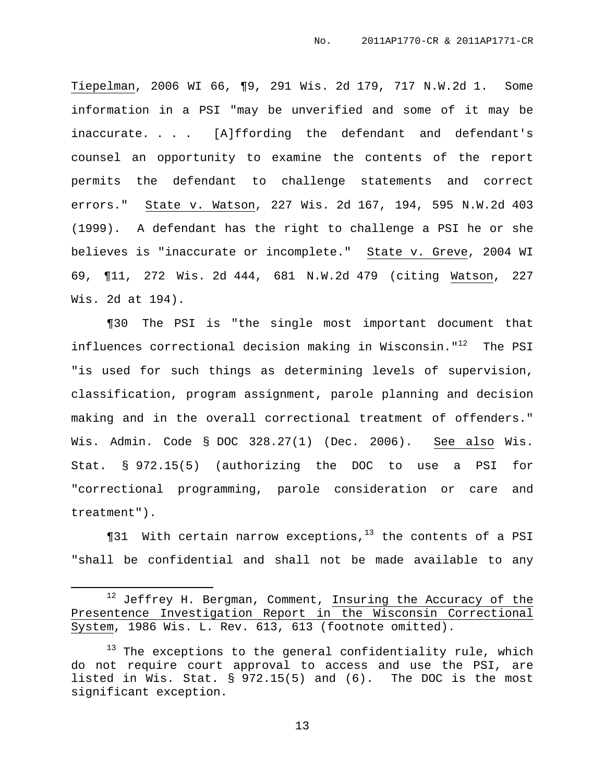Tiepelman, 2006 WI 66, ¶9, 291 Wis. 2d 179, 717 N.W.2d 1. Some information in a PSI "may be unverified and some of it may be inaccurate. . . . [A]ffording the defendant and defendant's counsel an opportunity to examine the contents of the report permits the defendant to challenge statements and correct errors." State v. Watson, 227 Wis. 2d 167, 194, 595 N.W.2d 403 (1999). A defendant has the right to challenge a PSI he or she believes is "inaccurate or incomplete." State v. Greve, 2004 WI 69, ¶11, 272 Wis. 2d 444, 681 N.W.2d 479 (citing Watson, 227 Wis. 2d at 194).

¶30 The PSI is "the single most important document that influences correctional decision making in Wisconsin."<sup>12</sup> The PSI "is used for such things as determining levels of supervision, classification, program assignment, parole planning and decision making and in the overall correctional treatment of offenders." Wis. Admin. Code § DOC 328.27(1) (Dec. 2006). See also Wis. Stat. § 972.15(5) (authorizing the DOC to use a PSI for "correctional programming, parole consideration or care and treatment").

¶31 With certain narrow exceptions,<sup>13</sup> the contents of a PSI "shall be confidential and shall not be made available to any

 $12$  Jeffrey H. Bergman, Comment, Insuring the Accuracy of the Presentence Investigation Report in the Wisconsin Correctional System, 1986 Wis. L. Rev. 613, 613 (footnote omitted).

 $13$  The exceptions to the general confidentiality rule, which do not require court approval to access and use the PSI, are listed in Wis. Stat. § 972.15(5) and (6). The DOC is the most significant exception.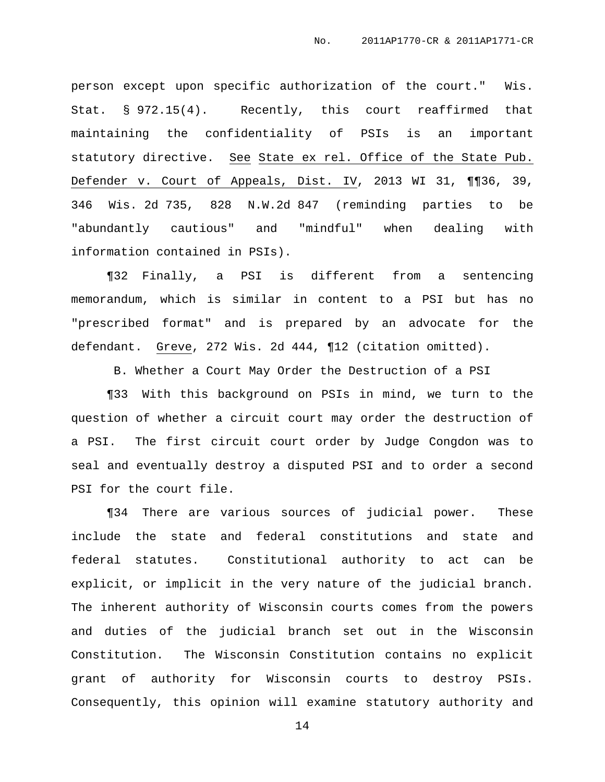person except upon specific authorization of the court." Wis. Stat. § 972.15(4). Recently, this court reaffirmed that maintaining the confidentiality of PSIs is an important statutory directive. See State ex rel. Office of the State Pub. Defender v. Court of Appeals, Dist. IV, 2013 WI 31, ¶¶36, 39, 346 Wis. 2d 735, 828 N.W.2d 847 (reminding parties to be "abundantly cautious" and "mindful" when dealing with information contained in PSIs).

¶32 Finally, a PSI is different from a sentencing memorandum, which is similar in content to a PSI but has no "prescribed format" and is prepared by an advocate for the defendant. Greve, 272 Wis. 2d 444, ¶12 (citation omitted).

B. Whether a Court May Order the Destruction of a PSI

¶33 With this background on PSIs in mind, we turn to the question of whether a circuit court may order the destruction of a PSI. The first circuit court order by Judge Congdon was to seal and eventually destroy a disputed PSI and to order a second PSI for the court file.

¶34 There are various sources of judicial power. These include the state and federal constitutions and state and federal statutes. Constitutional authority to act can be explicit, or implicit in the very nature of the judicial branch. The inherent authority of Wisconsin courts comes from the powers and duties of the judicial branch set out in the Wisconsin Constitution. The Wisconsin Constitution contains no explicit grant of authority for Wisconsin courts to destroy PSIs. Consequently, this opinion will examine statutory authority and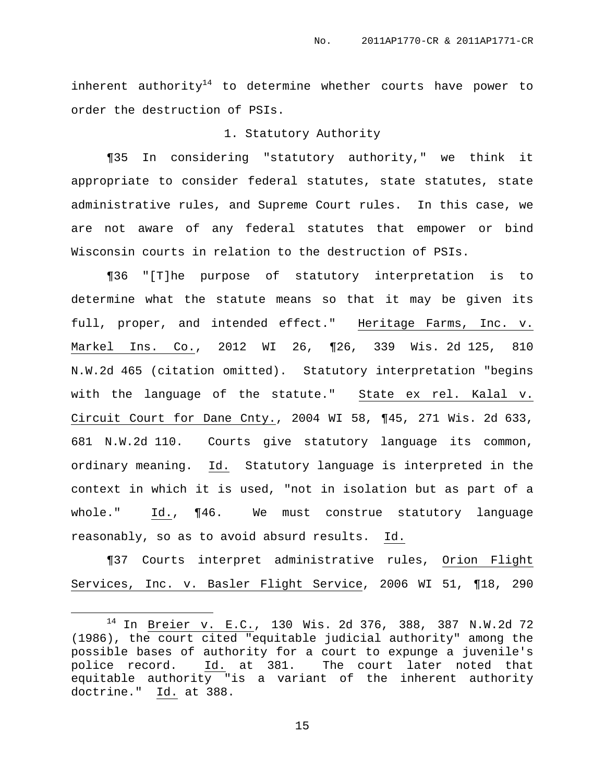inherent authority<sup>14</sup> to determine whether courts have power to order the destruction of PSIs.

# 1. Statutory Authority

¶35 In considering "statutory authority," we think it appropriate to consider federal statutes, state statutes, state administrative rules, and Supreme Court rules. In this case, we are not aware of any federal statutes that empower or bind Wisconsin courts in relation to the destruction of PSIs.

¶36 "[T]he purpose of statutory interpretation is to determine what the statute means so that it may be given its full, proper, and intended effect." Heritage Farms, Inc. v. Markel Ins. Co., 2012 WI 26, ¶26, 339 Wis. 2d 125, 810 N.W.2d 465 (citation omitted). Statutory interpretation "begins with the language of the statute." State ex rel. Kalal v. Circuit Court for Dane Cnty., 2004 WI 58, ¶45, 271 Wis. 2d 633, 681 N.W.2d 110. Courts give statutory language its common, ordinary meaning. Id. Statutory language is interpreted in the context in which it is used, "not in isolation but as part of a whole." Id., ¶46. We must construe statutory language reasonably, so as to avoid absurd results. Id.

¶37 Courts interpret administrative rules, Orion Flight Services, Inc. v. Basler Flight Service, 2006 WI 51, ¶18, 290

<sup>14</sup> In Breier v. E.C., 130 Wis. 2d 376, 388, 387 N.W.2d 72 (1986), the court cited "equitable judicial authority" among the possible bases of authority for a court to expunge a juvenile's police record. Id. at 381. The court later noted that equitable authority "is a variant of the inherent authority doctrine." Id. at 388.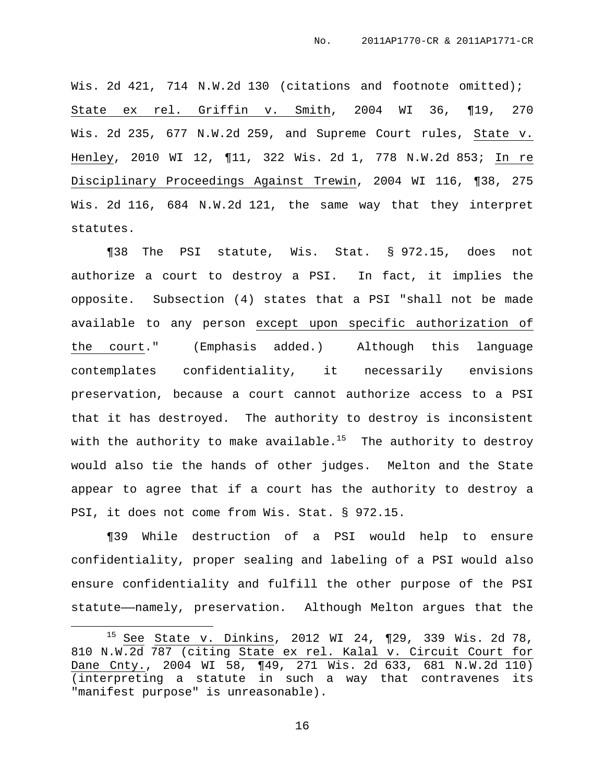Wis. 2d 421, 714 N.W.2d 130 (citations and footnote omitted); State ex rel. Griffin v. Smith, 2004 WI 36, ¶19, 270 Wis. 2d 235, 677 N.W.2d 259, and Supreme Court rules, State v. Henley, 2010 WI 12, ¶11, 322 Wis. 2d 1, 778 [N.W.2d](https://a.next.westlaw.com/Link/Document/FullText?findType=Y&serNum=2004749635&pubNum=595&originationContext=document&transitionType=DocumentItem&contextData=(sc.UserEnteredCitation)) 853; In re [Disciplinary](https://a.next.westlaw.com/Link/Document/FullText?findType=Y&serNum=2004749635&pubNum=595&originationContext=document&transitionType=DocumentItem&contextData=(sc.UserEnteredCitation)) Proceedings Against Trewin, 2004 WI 116, ¶38, 275 Wis. 2d 116, 684 [N.W.2d](https://a.next.westlaw.com/Link/Document/FullText?findType=Y&serNum=2004749635&pubNum=595&originationContext=document&transitionType=DocumentItem&contextData=(sc.UserEnteredCitation)) 121, the same way that they interpret statutes.

¶38 The PSI statute, Wis. Stat. § 972.15, does not authorize a court to destroy a PSI. In fact, it implies the opposite. Subsection (4) states that a PSI "shall not be made available to any person except upon specific authorization of the court." (Emphasis added.) Although this language contemplates confidentiality, it necessarily envisions preservation, because a court cannot authorize access to a PSI that it has destroyed. The authority to destroy is inconsistent with the authority to make available. $^{\rm 15}$  . The authority to destroy would also tie the hands of other judges. Melton and the State appear to agree that if a court has the authority to destroy a PSI, it does not come from Wis. Stat. § 972.15.

¶39 While destruction of a PSI would help to ensure confidentiality, proper sealing and labeling of a PSI would also ensure confidentiality and fulfill the other purpose of the PSI statute——namely, preservation. Although Melton argues that the

<sup>15</sup> See State v. Dinkins, 2012 WI 24, ¶29, 339 Wis. 2d 78, 810 N.W.2d 787 (citing State ex rel. Kalal v. Circuit Court for Dane Cnty., 2004 WI 58, ¶49, 271 Wis. 2d 633, 681 N.W.2d 110) (interpreting a statute in such a way that contravenes its "manifest purpose" is unreasonable).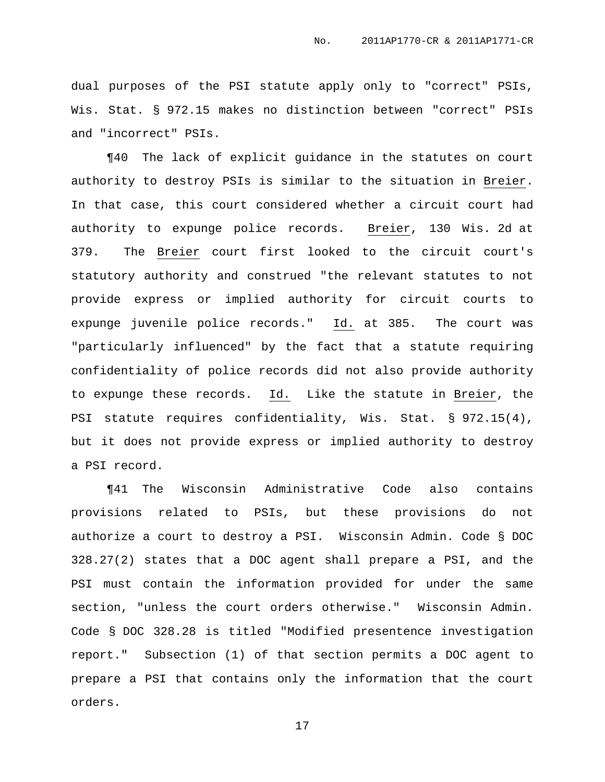dual purposes of the PSI statute apply only to "correct" PSIs, Wis. Stat. § 972.15 makes no distinction between "correct" PSIs and "incorrect" PSIs.

¶40 The lack of explicit guidance in the statutes on court authority to destroy PSIs is similar to the situation in Breier. In that case, this court considered whether a circuit court had authority to expunge police records. Breier, 130 Wis. 2d at 379. The Breier court first looked to the circuit court's statutory authority and construed "the relevant statutes to not provide express or implied authority for circuit courts to expunge juvenile police records." Id. at 385. The court was "particularly influenced" by the fact that a statute requiring confidentiality of police records did not also provide authority to expunge these records. Id. Like the statute in Breier, the PSI statute requires confidentiality, Wis. Stat. § 972.15(4), but it does not provide express or implied authority to destroy a PSI record.

¶41 The Wisconsin Administrative Code also contains provisions related to PSIs, but these provisions do not authorize a court to destroy a PSI. Wisconsin Admin. Code § DOC 328.27(2) states that a DOC agent shall prepare a PSI, and the PSI must contain the information provided for under the same section, "unless the court orders otherwise." Wisconsin Admin. Code § DOC 328.28 is titled "Modified presentence investigation report." Subsection (1) of that section permits a DOC agent to prepare a PSI that contains only the information that the court orders.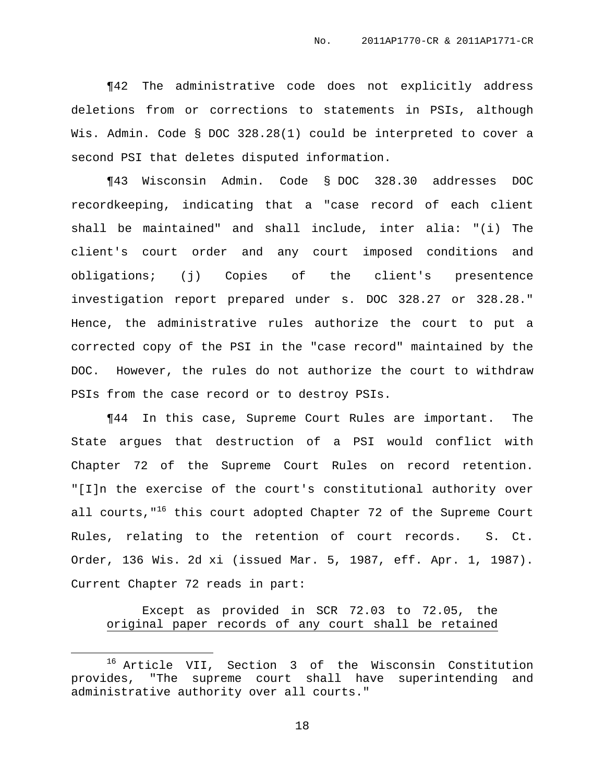¶42 The administrative code does not explicitly address deletions from or corrections to statements in PSIs, although Wis. Admin. Code § DOC 328.28(1) could be interpreted to cover a second PSI that deletes disputed information.

¶43 Wisconsin Admin. Code § DOC 328.30 addresses DOC recordkeeping, indicating that a "case record of each client shall be maintained" and shall include, inter alia: "(i) The client's court order and any court imposed conditions and obligations; (j) Copies of the client's presentence investigation report prepared under s. DOC 328.27 or 328.28." Hence, the administrative rules authorize the court to put a corrected copy of the PSI in the "case record" maintained by the DOC. However, the rules do not authorize the court to withdraw PSIs from the case record or to destroy PSIs.

¶44 In this case, Supreme Court Rules are important. The State argues that destruction of a PSI would conflict with Chapter 72 of the Supreme Court Rules on record retention. "[I]n the exercise of the court's constitutional authority over all courts,"<sup>16</sup> this court adopted Chapter 72 of the Supreme Court Rules, relating to the retention of court records. S. Ct. Order, 136 Wis. 2d xi (issued Mar. 5, 1987, eff. Apr. 1, 1987). Current Chapter 72 reads in part:

Except as provided in SCR 72.03 to 72.05, the original paper records of any court shall be retained

<sup>16</sup> Article VII, Section 3 of the Wisconsin Constitution provides, "The supreme court shall have superintending and administrative authority over all courts."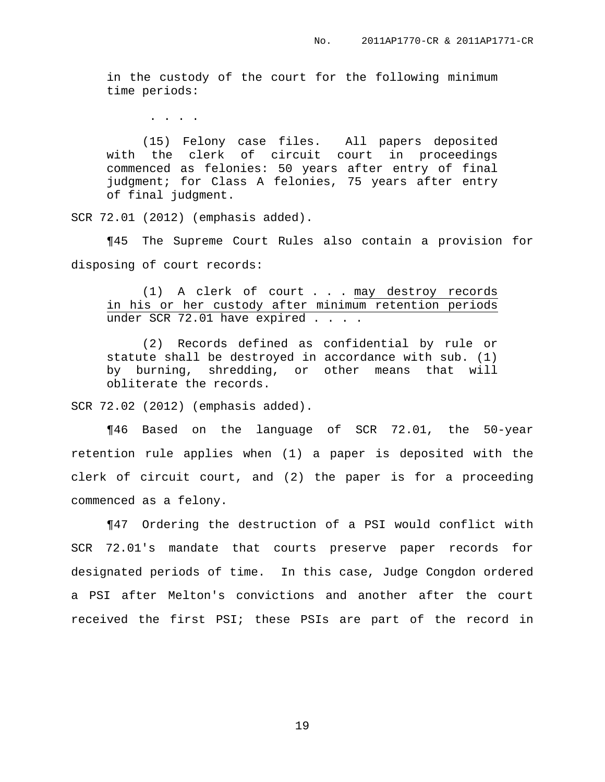in the custody of the court for the following minimum time periods:

. . . .

(15) Felony case files. All papers deposited with the clerk of circuit court in proceedings commenced as felonies: 50 years after entry of final judgment; for Class A felonies, 75 years after entry of final judgment.

SCR 72.01 (2012) (emphasis added).

¶45 The Supreme Court Rules also contain a provision for disposing of court records:

(1) A clerk of court . . . may destroy records in his or her custody after minimum retention periods under SCR 72.01 have expired . . . .

(2) Records defined as confidential by rule or statute shall be destroyed in accordance with sub. (1) by burning, shredding, or other means that will obliterate the records.

SCR 72.02 (2012) (emphasis added).

¶46 Based on the language of SCR 72.01, the 50-year retention rule applies when (1) a paper is deposited with the clerk of circuit court, and (2) the paper is for a proceeding commenced as a felony.

¶47 Ordering the destruction of a PSI would conflict with SCR 72.01's mandate that courts preserve paper records for designated periods of time. In this case, Judge Congdon ordered a PSI after Melton's convictions and another after the court received the first PSI; these PSIs are part of the record in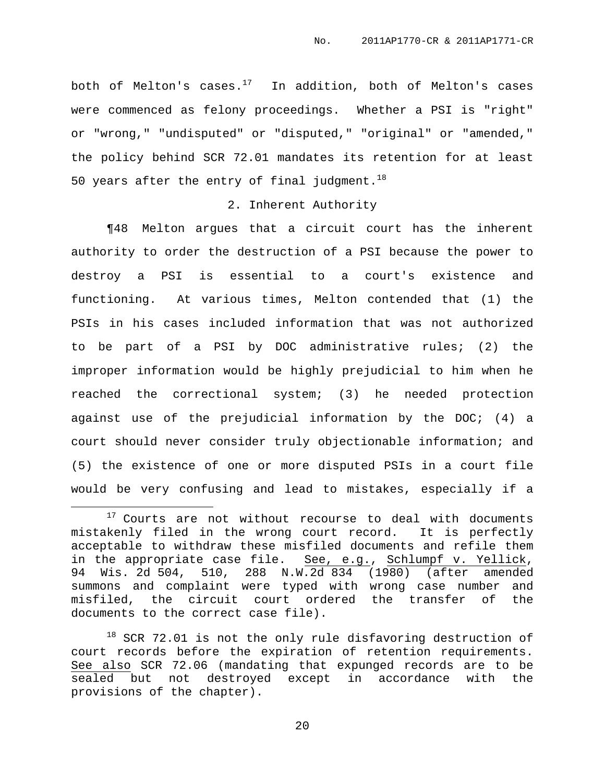both of Melton's cases. $^{17}$   $\,$  In addition, both of Melton's cases were commenced as felony proceedings. Whether a PSI is "right" or "wrong," "undisputed" or "disputed," "original" or "amended," the policy behind SCR 72.01 mandates its retention for at least 50 years after the entry of final judgment.<sup>18</sup>

#### 2. Inherent Authority

¶48 Melton argues that a circuit court has the inherent authority to order the destruction of a PSI because the power to destroy a PSI is essential to a court's existence and functioning. At various times, Melton contended that (1) the PSIs in his cases included information that was not authorized to be part of a PSI by DOC administrative rules; (2) the improper information would be highly prejudicial to him when he reached the correctional system; (3) he needed protection against use of the prejudicial information by the DOC; (4) a court should never consider truly objectionable information; and (5) the existence of one or more disputed PSIs in a court file would be very confusing and lead to mistakes, especially if a

<sup>18</sup> SCR 72.01 is not the only rule disfavoring destruction of court records before the expiration of retention requirements. See also SCR 72.06 (mandating that expunged records are to be sealed but not destroyed except in accordance with the provisions of the chapter).

 $17$  Courts are not without recourse to deal with documents mistakenly filed in the wrong court record. It is perfectly acceptable to withdraw these misfiled documents and refile them in the appropriate case file. See, e.g., Schlumpf v. Yellick, 94 Wis. 2d 504, 510, 288 N.W.2d 834 (1980) (after amended summons and complaint were typed with wrong case number and misfiled, the circuit court ordered the transfer of the documents to the correct case file).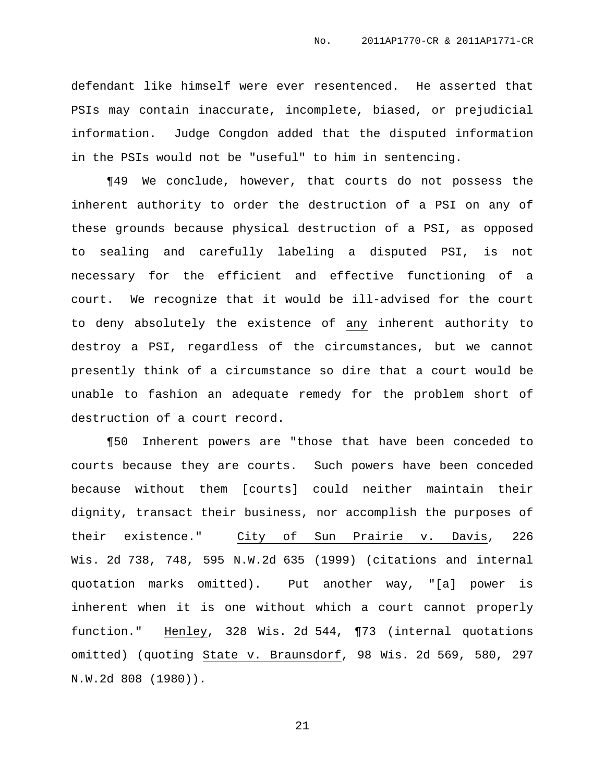defendant like himself were ever resentenced. He asserted that PSIs may contain inaccurate, incomplete, biased, or prejudicial information. Judge Congdon added that the disputed information in the PSIs would not be "useful" to him in sentencing.

¶49 We conclude, however, that courts do not possess the inherent authority to order the destruction of a PSI on any of these grounds because physical destruction of a PSI, as opposed to sealing and carefully labeling a disputed PSI, is not necessary for the efficient and effective functioning of a court. We recognize that it would be ill-advised for the court to deny absolutely the existence of any inherent authority to destroy a PSI, regardless of the circumstances, but we cannot presently think of a circumstance so dire that a court would be unable to fashion an adequate remedy for the problem short of destruction of a court record.

¶50 Inherent powers are "those that have been conceded to courts because they are courts. Such powers have been conceded because without them [courts] could neither maintain their dignity, transact their business, nor accomplish the purposes of their existence." City of Sun Prairie v. Davis, 226 Wis. 2d 738, 748, 595 N.W.2d 635 (1999) (citations and internal quotation marks omitted). Put another way, "[a] power is inherent when it is one without which a court cannot properly function." Henley, 328 Wis. 2d 544, ¶73 (internal quotations omitted) (quoting State v. Braunsdorf, 98 Wis. 2d 569, 580, 297 N.W.2d 808 (1980)).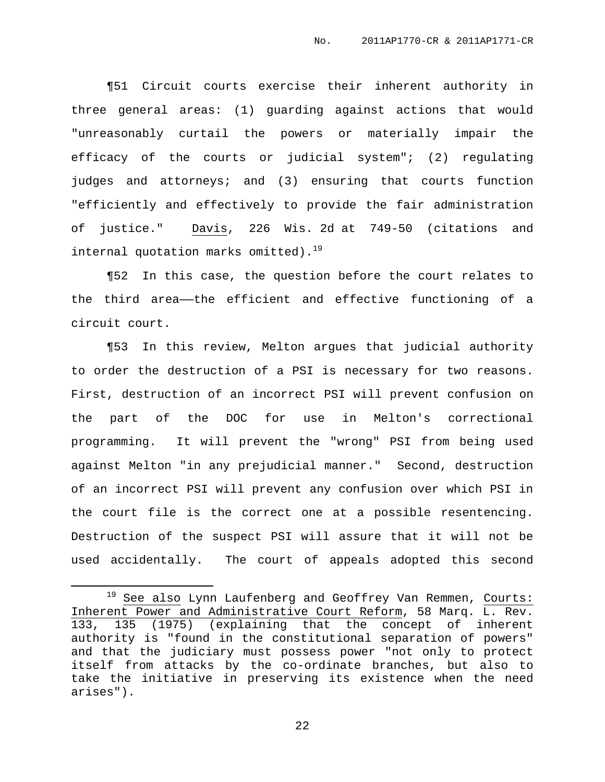¶51 Circuit courts exercise their inherent authority in three general areas: (1) guarding against actions that would "unreasonably curtail the powers or materially impair the efficacy of the courts or judicial system"; (2) regulating judges and attorneys; and (3) ensuring that courts function "efficiently and effectively to provide the fair administration of justice." Davis, 226 Wis. 2d at 749-50 (citations and internal quotation marks omitted). 19

¶52 In this case, the question before the court relates to the third area——the efficient and effective functioning of a circuit court.

¶53 In this review, Melton argues that judicial authority to order the destruction of a PSI is necessary for two reasons. First, destruction of an incorrect PSI will prevent confusion on the part of the DOC for use in Melton's correctional programming. It will prevent the "wrong" PSI from being used against Melton "in any prejudicial manner." Second, destruction of an incorrect PSI will prevent any confusion over which PSI in the court file is the correct one at a possible resentencing. Destruction of the suspect PSI will assure that it will not be used accidentally. The court of appeals adopted this second

<sup>&</sup>lt;sup>19</sup> See also Lynn Laufenberg and Geoffrey Van Remmen, Courts: Inherent Power and Administrative Court Reform, 58 Marq. L. Rev. 133, 135 (1975) (explaining that the concept of inherent authority is "found in the constitutional separation of powers" and that the judiciary must possess power "not only to protect itself from attacks by the co-ordinate branches, but also to take the initiative in preserving its existence when the need arises").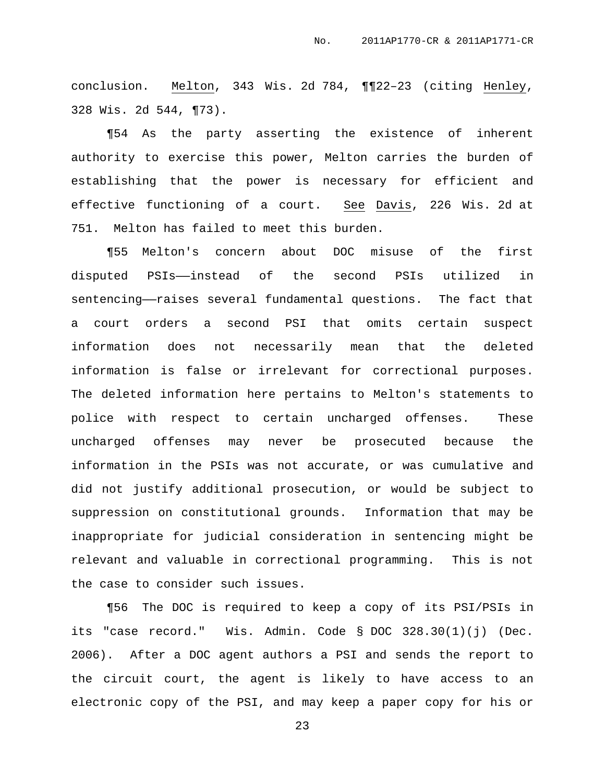conclusion. Melton, 343 Wis. 2d 784, ¶¶22–23 (citing Henley, 328 Wis. 2d 544, ¶73).

¶54 As the party asserting the existence of inherent authority to exercise this power, Melton carries the burden of establishing that the power is necessary for efficient and effective functioning of a court. See Davis, 226 Wis. 2d at 751. Melton has failed to meet this burden.

¶55 Melton's concern about DOC misuse of the first disputed PSIs——instead of the second PSIs utilized in sentencing—raises several fundamental questions. The fact that a court orders a second PSI that omits certain suspect information does not necessarily mean that the deleted information is false or irrelevant for correctional purposes. The deleted information here pertains to Melton's statements to police with respect to certain uncharged offenses. These uncharged offenses may never be prosecuted because the information in the PSIs was not accurate, or was cumulative and did not justify additional prosecution, or would be subject to suppression on constitutional grounds. Information that may be inappropriate for judicial consideration in sentencing might be relevant and valuable in correctional programming. This is not the case to consider such issues.

¶56 The DOC is required to keep a copy of its PSI/PSIs in its "case record." Wis. Admin. Code § DOC 328.30(1)(j) (Dec. 2006). After a DOC agent authors a PSI and sends the report to the circuit court, the agent is likely to have access to an electronic copy of the PSI, and may keep a paper copy for his or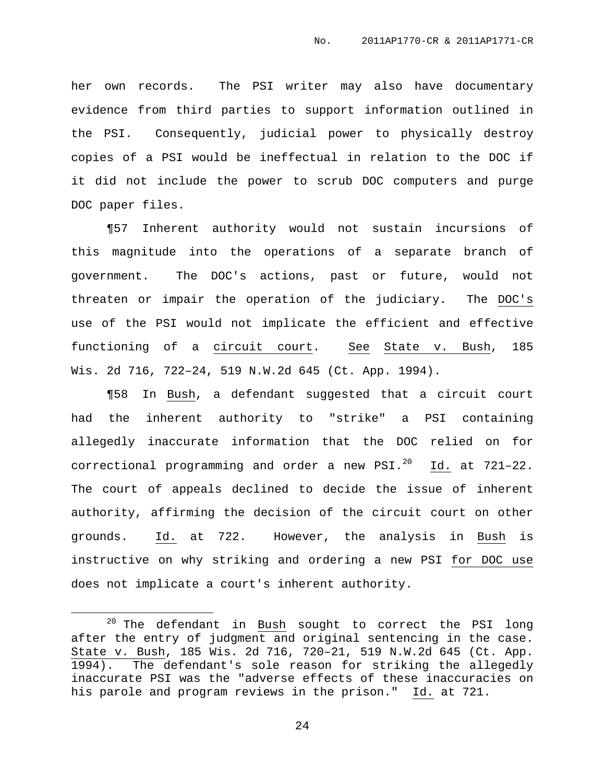her own records. The PSI writer may also have documentary evidence from third parties to support information outlined in the PSI. Consequently, judicial power to physically destroy copies of a PSI would be ineffectual in relation to the DOC if it did not include the power to scrub DOC computers and purge DOC paper files.

¶57 Inherent authority would not sustain incursions of this magnitude into the operations of a separate branch of government. The DOC's actions, past or future, would not threaten or impair the operation of the judiciary. The DOC's use of the PSI would not implicate the efficient and effective functioning of a circuit court. See State v. Bush, 185 Wis. 2d 716, 722–24, 519 N.W.2d 645 (Ct. App. 1994).

¶58 In Bush, a defendant suggested that a circuit court had the inherent authority to "strike" a PSI containing allegedly inaccurate information that the DOC relied on for correctional programming and order a new  $PSI.^{20}$  Id. at  $721-22$ . The court of appeals declined to decide the issue of inherent authority, affirming the decision of the circuit court on other grounds. Id. at 722. However, the analysis in Bush is instructive on why striking and ordering a new PSI for DOC use does not implicate a court's inherent authority.

<sup>&</sup>lt;sup>20</sup> The defendant in Bush sought to correct the PSI long after the entry of judgment and original sentencing in the case. State v. Bush, 185 Wis. 2d 716, 720–21, 519 N.W.2d 645 (Ct. App. 1994). The defendant's sole reason for striking the allegedly inaccurate PSI was the "adverse effects of these inaccuracies on his parole and program reviews in the prison." Id. at 721.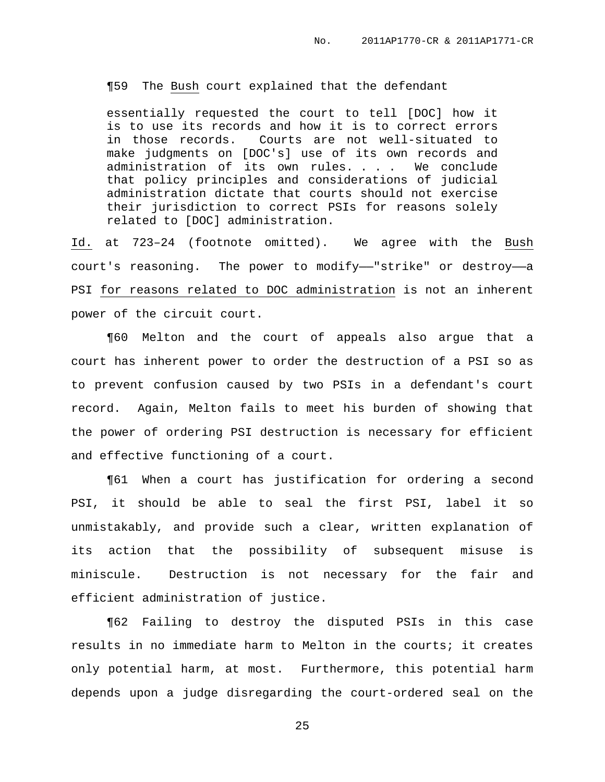¶59 The Bush court explained that the defendant

essentially requested the court to tell [DOC] how it is to use its records and how it is to correct errors in those records. Courts are not well-situated to make judgments on [DOC's] use of its own records and administration of its own rules. . . . We conclude that policy principles and considerations of judicial administration dictate that courts should not exercise their jurisdiction to correct PSIs for reasons solely related to [DOC] administration.

Id. at 723–24 (footnote omitted). We agree with the Bush court's reasoning. The power to modify--"strike" or destroy-a PSI for reasons related to DOC administration is not an inherent power of the circuit court.

¶60 Melton and the court of appeals also argue that a court has inherent power to order the destruction of a PSI so as to prevent confusion caused by two PSIs in a defendant's court record. Again, Melton fails to meet his burden of showing that the power of ordering PSI destruction is necessary for efficient and effective functioning of a court.

¶61 When a court has justification for ordering a second PSI, it should be able to seal the first PSI, label it so unmistakably, and provide such a clear, written explanation of its action that the possibility of subsequent misuse is miniscule. Destruction is not necessary for the fair and efficient administration of justice.

¶62 Failing to destroy the disputed PSIs in this case results in no immediate harm to Melton in the courts; it creates only potential harm, at most. Furthermore, this potential harm depends upon a judge disregarding the court-ordered seal on the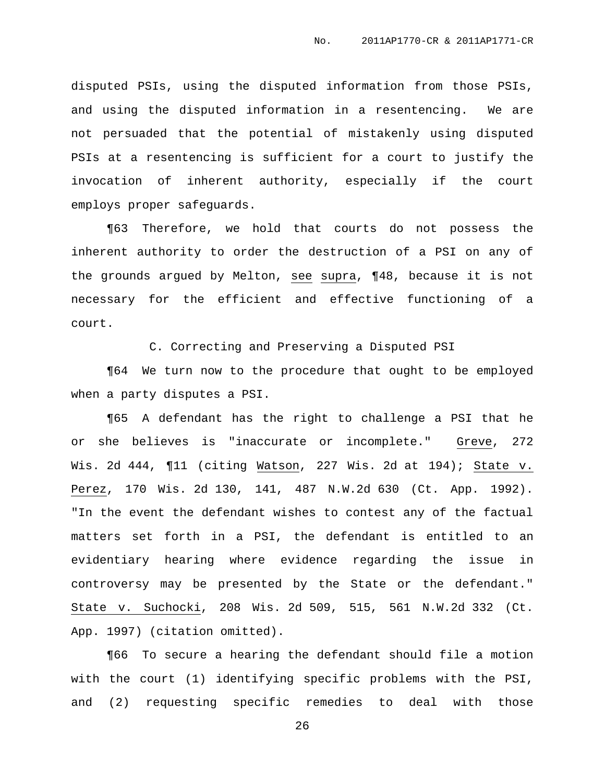disputed PSIs, using the disputed information from those PSIs, and using the disputed information in a resentencing. We are not persuaded that the potential of mistakenly using disputed PSIs at a resentencing is sufficient for a court to justify the invocation of inherent authority, especially if the court employs proper safeguards.

¶63 Therefore, we hold that courts do not possess the inherent authority to order the destruction of a PSI on any of the grounds argued by Melton, see supra, ¶48, because it is not necessary for the efficient and effective functioning of a court.

C. Correcting and Preserving a Disputed PSI

¶64 We turn now to the procedure that ought to be employed when a party disputes a PSI.

¶65 A defendant has the right to challenge a PSI that he or she believes is "inaccurate or incomplete." Greve, 272 Wis. 2d 444, ¶11 (citing Watson, 227 Wis. 2d at 194); State v. Perez, 170 Wis. 2d 130, 141, 487 N.W.2d 630 (Ct. App. 1992). "In the event the defendant wishes to contest any of the factual matters set forth in a PSI, the defendant is entitled to an evidentiary hearing where evidence regarding the issue in controversy may be presented by the State or the defendant." State v. Suchocki, 208 Wis. 2d 509, 515, 561 N.W.2d 332 (Ct. App. 1997) (citation omitted).

¶66 To secure a hearing the defendant should file a motion with the court (1) identifying specific problems with the PSI, and (2) requesting specific remedies to deal with those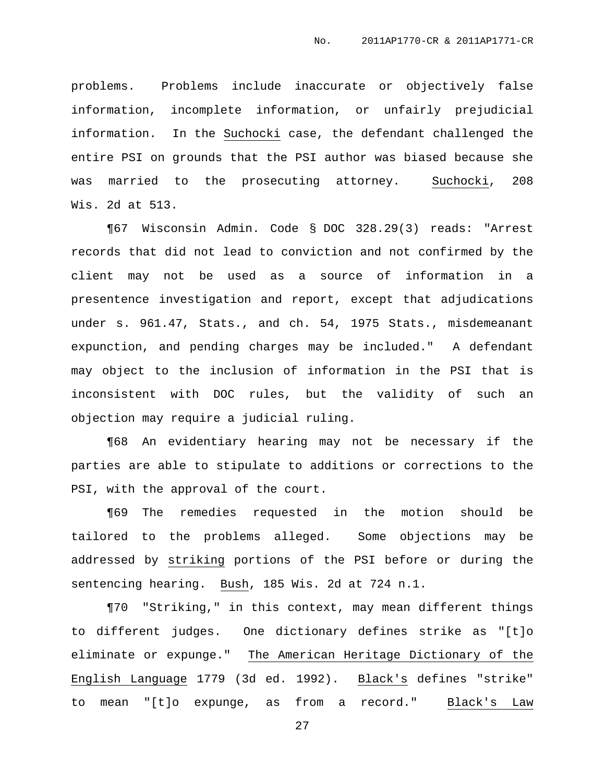problems. Problems include inaccurate or objectively false information, incomplete information, or unfairly prejudicial information. In the Suchocki case, the defendant challenged the entire PSI on grounds that the PSI author was biased because she was married to the prosecuting attorney. Suchocki, 208 Wis. 2d at 513.

¶67 Wisconsin Admin. Code § DOC 328.29(3) reads: "Arrest records that did not lead to conviction and not confirmed by the client may not be used as a source of information in a presentence investigation and report, except that adjudications under s. 961.47, Stats., and ch. 54, 1975 Stats., misdemeanant expunction, and pending charges may be included." A defendant may object to the inclusion of information in the PSI that is inconsistent with DOC rules, but the validity of such an objection may require a judicial ruling.

¶68 An evidentiary hearing may not be necessary if the parties are able to stipulate to additions or corrections to the PSI, with the approval of the court.

¶69 The remedies requested in the motion should be tailored to the problems alleged. Some objections may be addressed by striking portions of the PSI before or during the sentencing hearing. Bush, 185 Wis. 2d at 724 n.1.

¶70 "Striking," in this context, may mean different things to different judges. One dictionary defines strike as "[t]o eliminate or expunge." The American Heritage Dictionary of the English Language 1779 (3d ed. 1992). Black's defines "strike" to mean "[t]o expunge, as from a record." Black's Law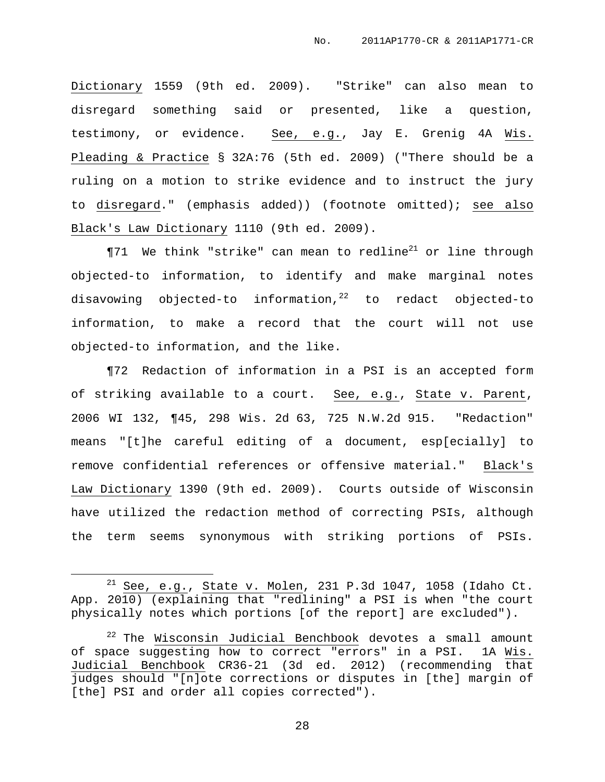Dictionary 1559 (9th ed. 2009). "Strike" can also mean to disregard something said or presented, like a question, testimony, or evidence. See, e.g., Jay E. Grenig 4A Wis. Pleading & Practice § 32A:76 (5th ed. 2009) ("There should be a ruling on a motion to strike evidence and to instruct the jury to disregard." (emphasis added)) (footnote omitted); see also Black's Law Dictionary 1110 (9th ed. 2009).

¶71 We think "strike" can mean to redline <sup>21</sup> or line through objected-to information, to identify and make marginal notes disavowing objected-to information, <sup>22</sup> to redact objected-to information, to make a record that the court will not use objected-to information, and the like.

¶72 Redaction of information in a PSI is an accepted form of striking available to a court. See, e.g., State v. Parent, 2006 WI 132, ¶45, 298 Wis. 2d 63, 725 N.W.2d 915. "Redaction" means "[t]he careful editing of a document, esp[ecially] to remove confidential references or offensive material." Black's Law Dictionary 1390 (9th ed. 2009). Courts outside of Wisconsin have utilized the redaction method of correcting PSIs, although the term seems synonymous with striking portions of PSIs.

 $21$  See, e.g., State v. Molen, 231 P.3d 1047, 1058 (Idaho Ct. App. 2010) (explaining that "redlining" a PSI is when "the court physically notes which portions [of the report] are excluded").

 $22$  The Wisconsin Judicial Benchbook devotes a small amount of space suggesting how to correct "errors" in a PSI. 1A Wis. Judicial Benchbook CR36-21 (3d ed. 2012) (recommending that judges should "[n]ote corrections or disputes in [the] margin of [the] PSI and order all copies corrected").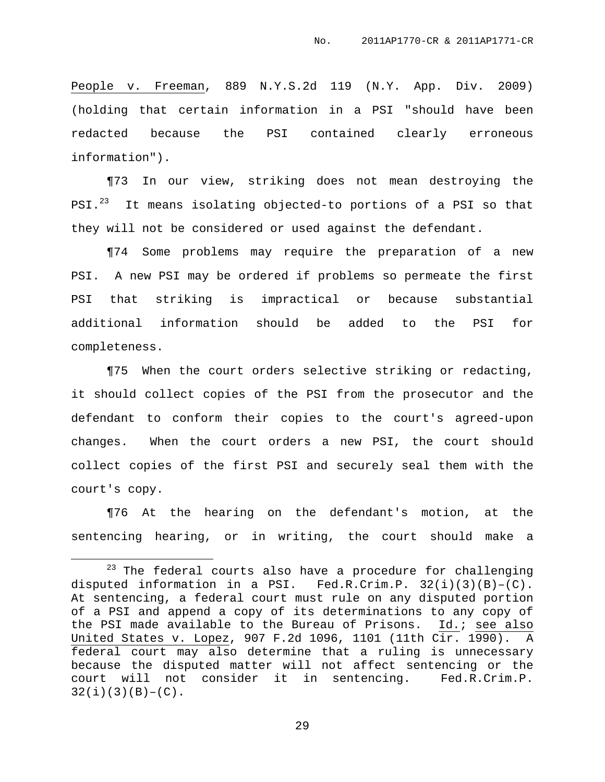People v. Freeman, 889 N.Y.S.2d 119 (N.Y. App. Div. 2009) (holding that certain information in a PSI "should have been redacted because the PSI contained clearly erroneous information").

¶73 In our view, striking does not mean destroying the PSI.<sup>23</sup> It means isolating objected-to portions of a PSI so that they will not be considered or used against the defendant.

¶74 Some problems may require the preparation of a new PSI. A new PSI may be ordered if problems so permeate the first PSI that striking is impractical or because substantial additional information should be added to the PSI for completeness.

¶75 When the court orders selective striking or redacting, it should collect copies of the PSI from the prosecutor and the defendant to conform their copies to the court's agreed-upon changes. When the court orders a new PSI, the court should collect copies of the first PSI and securely seal them with the court's copy.

¶76 At the hearing on the defendant's motion, at the sentencing hearing, or in writing, the court should make a

 $23$  The federal courts also have a procedure for challenging disputed information in a PSI. Fed.R.Crim.P.  $32(i)(3)(B)-(C)$ . At sentencing, a federal court must rule on any disputed portion of a PSI and append a copy of its determinations to any copy of the PSI made available to the Bureau of Prisons. Id.; see also United States v. Lopez, 907 F.2d 1096, 1101 (11th Cir. 1990). A federal court may also determine that a ruling is unnecessary because the disputed matter will not affect sentencing or the court will not consider it in sentencing. Fed.R.Crim.P.  $32(i)(3)(B) - (C)$ .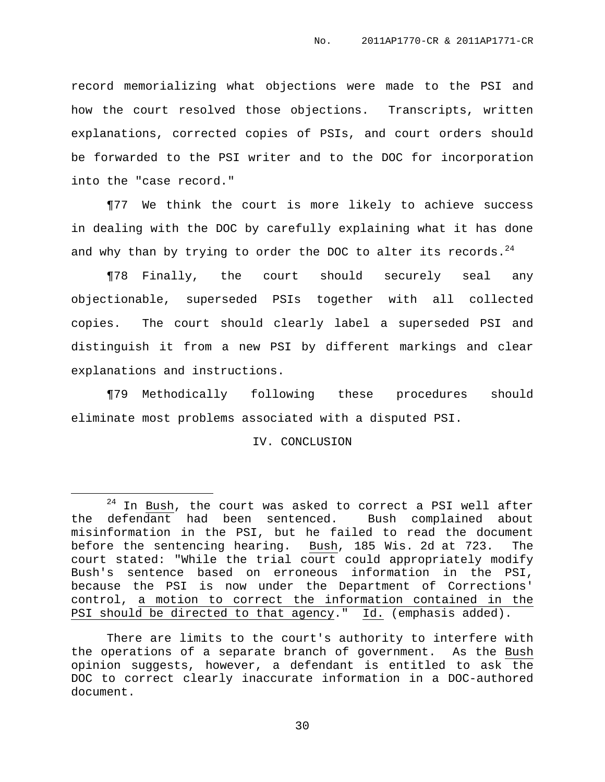record memorializing what objections were made to the PSI and how the court resolved those objections. Transcripts, written explanations, corrected copies of PSIs, and court orders should be forwarded to the PSI writer and to the DOC for incorporation into the "case record."

¶77 We think the court is more likely to achieve success in dealing with the DOC by carefully explaining what it has done and why than by trying to order the DOC to alter its records. $^{24}$ 

¶78 Finally, the court should securely seal any objectionable, superseded PSIs together with all collected copies. The court should clearly label a superseded PSI and distinguish it from a new PSI by different markings and clear explanations and instructions.

¶79 Methodically following these procedures should eliminate most problems associated with a disputed PSI.

#### IV. CONCLUSION

There are limits to the court's authority to interfere with the operations of a separate branch of government. As the Bush opinion suggests, however, a defendant is entitled to ask the DOC to correct clearly inaccurate information in a DOC-authored document.

 $24$  In Bush, the court was asked to correct a PSI well after the defendant had been sentenced. Bush complained about misinformation in the PSI, but he failed to read the document before the sentencing hearing. Bush, 185 Wis. 2d at 723. The court stated: "While the trial court could appropriately modify Bush's sentence based on erroneous information in the PSI, because the PSI is now under the Department of Corrections' control, a motion to correct the information contained in the PSI should be directed to that agency." Id. (emphasis added).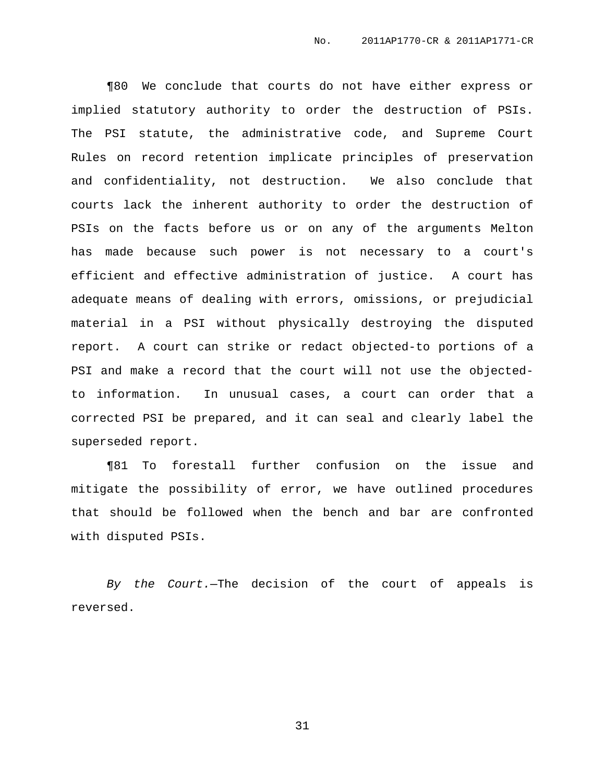¶80 We conclude that courts do not have either express or implied statutory authority to order the destruction of PSIs. The PSI statute, the administrative code, and Supreme Court Rules on record retention implicate principles of preservation and confidentiality, not destruction. We also conclude that courts lack the inherent authority to order the destruction of PSIs on the facts before us or on any of the arguments Melton has made because such power is not necessary to a court's efficient and effective administration of justice. A court has adequate means of dealing with errors, omissions, or prejudicial material in a PSI without physically destroying the disputed report. A court can strike or redact objected-to portions of a PSI and make a record that the court will not use the objectedto information. In unusual cases, a court can order that a corrected PSI be prepared, and it can seal and clearly label the superseded report.

¶81 To forestall further confusion on the issue and mitigate the possibility of error, we have outlined procedures that should be followed when the bench and bar are confronted with disputed PSIs.

By the Court.—The decision of the court of appeals is reversed.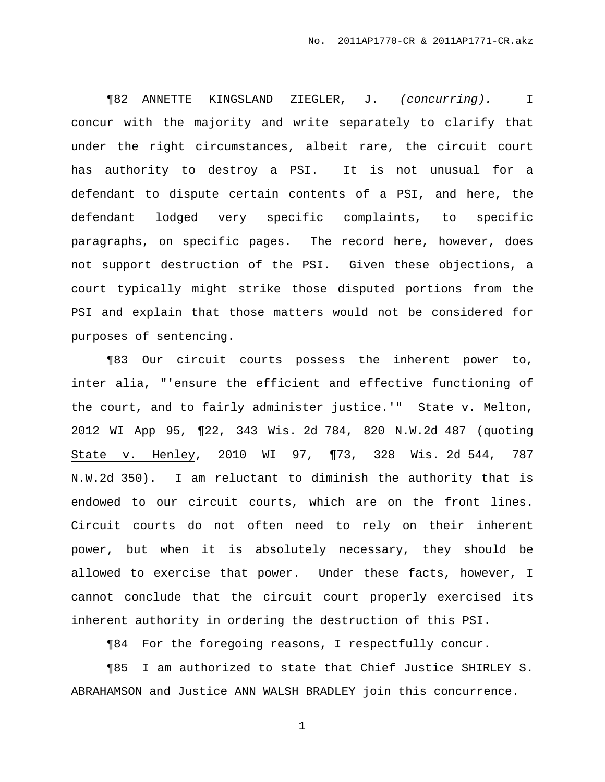¶82 ANNETTE KINGSLAND ZIEGLER, J. (concurring). I concur with the majority and write separately to clarify that under the right circumstances, albeit rare, the circuit court has authority to destroy a PSI. It is not unusual for a defendant to dispute certain contents of a PSI, and here, the defendant lodged very specific complaints, to specific paragraphs, on specific pages. The record here, however, does not support destruction of the PSI. Given these objections, a court typically might strike those disputed portions from the PSI and explain that those matters would not be considered for purposes of sentencing.

¶83 Our circuit courts possess the inherent power to, inter alia, "'ensure the efficient and effective functioning of the court, and to fairly administer justice.'" State v. Melton, 2012 WI App 95, ¶22, 343 Wis. 2d 784, 820 N.W.2d 487 (quoting State v. Henley, 2010 WI 97, ¶73, 328 Wis. 2d 544, 787 N.W.2d 350). I am reluctant to diminish the authority that is endowed to our circuit courts, which are on the front lines. Circuit courts do not often need to rely on their inherent power, but when it is absolutely necessary, they should be allowed to exercise that power. Under these facts, however, I cannot conclude that the circuit court properly exercised its inherent authority in ordering the destruction of this PSI.

¶84 For the foregoing reasons, I respectfully concur.

¶85 I am authorized to state that Chief Justice SHIRLEY S. ABRAHAMSON and Justice ANN WALSH BRADLEY join this concurrence.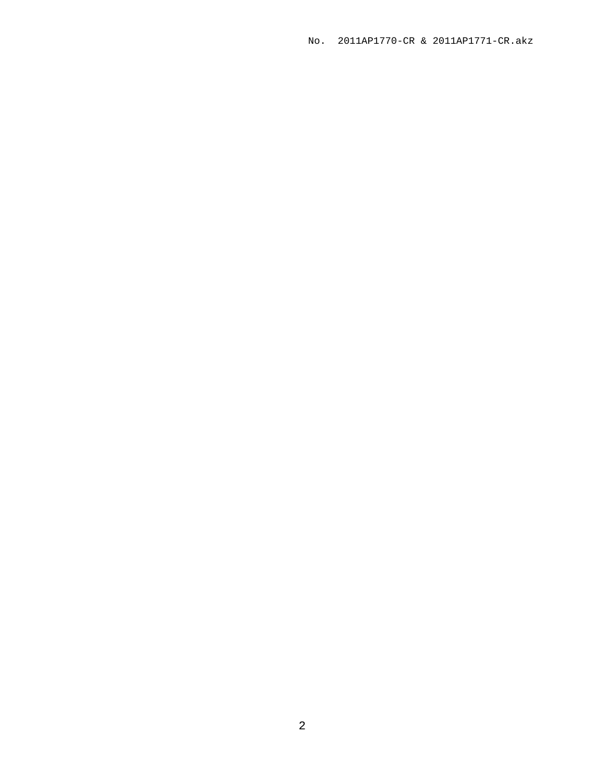No. 2011AP1770-CR & 2011AP1771-CR.akz